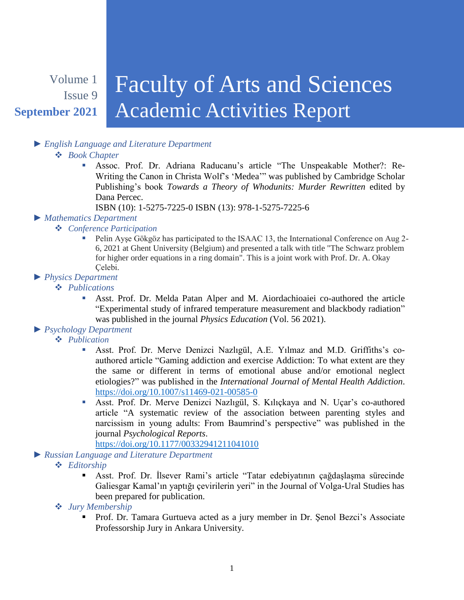#### Volume 1 Issue 9 **September 2021** Faculty of Arts and Sciences Academic Activities Report

## *► English Language and Literature Department*

#### *Book Chapter*

 Assoc. Prof. Dr. Adriana Raducanu's article "The Unspeakable Mother?: Re-Writing the Canon in Christa Wolf's 'Medea'" was published by Cambridge Scholar Publishing's book *Towards a Theory of Whodunits: Murder Rewritten* edited by Dana Percec.

ISBN (10): 1-5275-7225-0 ISBN (13): 978-1-5275-7225-6

#### *► Mathematics Department*

#### *Conference Participation*

 Pelin Ayşe Gökgöz has participated to the ISAAC 13, the International Conference on Aug 2- 6, 2021 at Ghent University (Belgium) and presented a talk with title "The Schwarz problem for higher order equations in a ring domain". This is a joint work with Prof. Dr. A. Okay Celebi.

### *► Physics Department*

- *Publications*
	- Asst. Prof. Dr. Melda Patan Alper and M. Aiordachioaiei co-authored the article "Experimental study of infrared temperature measurement and blackbody radiation" was published in the journal *Physics Education* (Vol. 56 2021).

## *► Psychology Department*

- *Publication*
	- Asst. Prof. Dr. Merve Denizci Nazlıgül, A.E. Yılmaz and M.D. Griffiths's coauthored article "Gaming addiction and exercise Addiction: To what extent are they the same or different in terms of emotional abuse and/or emotional neglect etiologies?" was published in the *International Journal of Mental Health Addiction*. <https://doi.org/10.1007/s11469-021-00585-0>
	- Asst. Prof. Dr. Merve Denizci Nazlıgül, S. Kılıçkaya and N. Uçar's co-authored article "A systematic review of the association between parenting styles and narcissism in young adults: From Baumrind's perspective" was published in the journal *Psychological Reports*.

<https://doi.org/10.1177/00332941211041010>

*► Russian Language and Literature Department*

- *Editorship*
	- Asst. Prof. Dr. İlsever Rami's article "Tatar edebiyatının çağdaşlaşma sürecinde Galiesgar Kamal'ın yaptığı çevirilerin yeri" in the Journal of Volga-Ural Studies has been prepared for publication.
- *Jury Membership*
	- Prof. Dr. Tamara Gurtueva acted as a jury member in Dr. Şenol Bezci's Associate Professorship Jury in Ankara University.